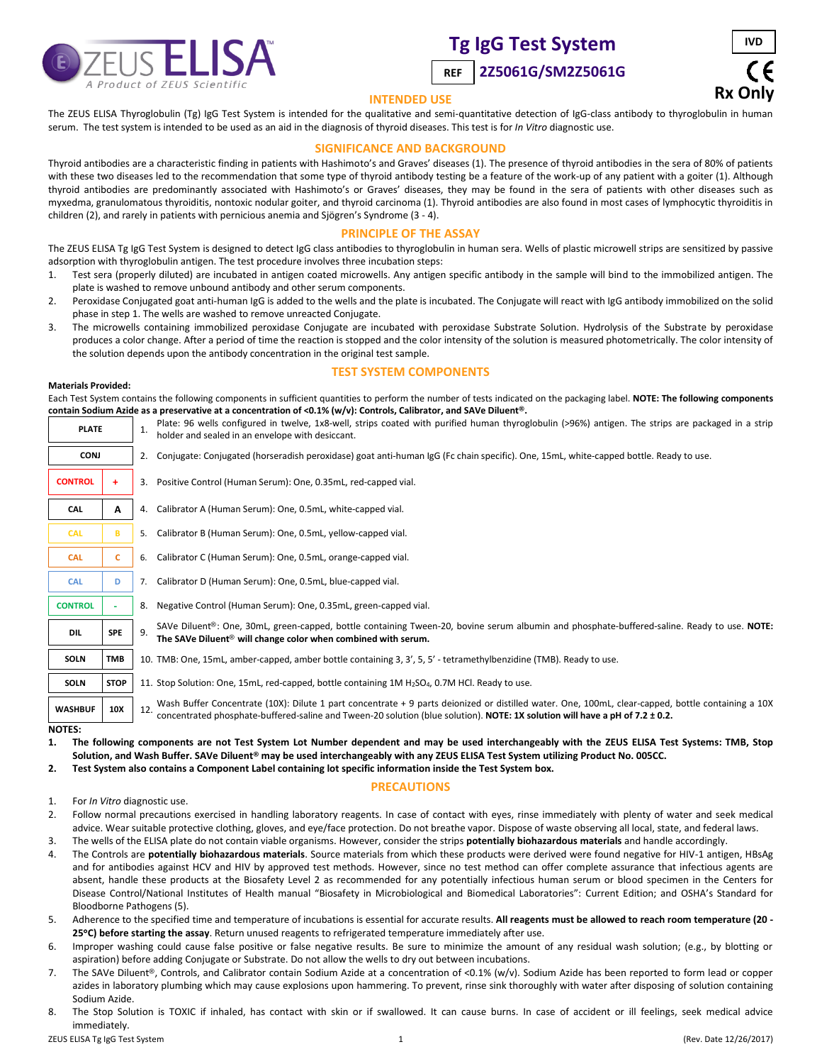

# **Tg IgG Test System**





## **INTENDED USE**

The ZEUS ELISA Thyroglobulin (Tg) IgG Test System is intended for the qualitative and semi-quantitative detection of IgG-class antibody to thyroglobulin in human serum. The test system is intended to be used as an aid in the diagnosis of thyroid diseases. This test is for *In Vitro* diagnostic use.

# **SIGNIFICANCE AND BACKGROUND**

Thyroid antibodies are a characteristic finding in patients with Hashimoto's and Graves' diseases (1). The presence of thyroid antibodies in the sera of 80% of patients with these two diseases led to the recommendation that some type of thyroid antibody testing be a feature of the work-up of any patient with a goiter (1). Although thyroid antibodies are predominantly associated with Hashimoto's or Graves' diseases, they may be found in the sera of patients with other diseases such as myxedma, granulomatous thyroiditis, nontoxic nodular goiter, and thyroid carcinoma (1). Thyroid antibodies are also found in most cases of lymphocytic thyroiditis in children (2), and rarely in patients with pernicious anemia and Sjögren's Syndrome (3 - 4).

# **PRINCIPLE OF THE ASSAY**

The ZEUS ELISA Tg IgG Test System is designed to detect IgG class antibodies to thyroglobulin in human sera. Wells of plastic microwell strips are sensitized by passive adsorption with thyroglobulin antigen. The test procedure involves three incubation steps:

- 1. Test sera (properly diluted) are incubated in antigen coated microwells. Any antigen specific antibody in the sample will bind to the immobilized antigen. The plate is washed to remove unbound antibody and other serum components.
- 2. Peroxidase Conjugated goat anti-human IgG is added to the wells and the plate is incubated. The Conjugate will react with IgG antibody immobilized on the solid phase in step 1. The wells are washed to remove unreacted Conjugate.
- 3. The microwells containing immobilized peroxidase Conjugate are incubated with peroxidase Substrate Solution. Hydrolysis of the Substrate by peroxidase produces a color change. After a period of time the reaction is stopped and the color intensity of the solution is measured photometrically. The color intensity of the solution depends upon the antibody concentration in the original test sample.

# **TEST SYSTEM COMPONENTS**

#### **Materials Provided:**

Each Test System contains the following components in sufficient quantities to perform the number of tests indicated on the packaging label. **NOTE: The following components contain Sodium Azide as a preservative at a concentration of <0.1% (w/v): Controls, Calibrator, and SAVe Diluent®.**

| <b>PLATE</b>   |             | $\mathbf{1}$ . | Plate: 96 wells configured in twelve, 1x8-well, strips coated with purified human thyroglobulin (>96%) antigen. The strips are packaged in a strip<br>holder and sealed in an envelope with desiccant.                                                                                    |  |  |
|----------------|-------------|----------------|-------------------------------------------------------------------------------------------------------------------------------------------------------------------------------------------------------------------------------------------------------------------------------------------|--|--|
| <b>CONJ</b>    |             |                | 2. Conjugate: Conjugated (horseradish peroxidase) goat anti-human IgG (Fc chain specific). One, 15mL, white-capped bottle. Ready to use.                                                                                                                                                  |  |  |
| <b>CONTROL</b> |             |                | 3. Positive Control (Human Serum): One, 0.35mL, red-capped vial.                                                                                                                                                                                                                          |  |  |
| CAL            | A           |                | 4. Calibrator A (Human Serum): One, 0.5mL, white-capped vial.                                                                                                                                                                                                                             |  |  |
| <b>CAL</b>     | R           |                | 5. Calibrator B (Human Serum): One, 0.5mL, yellow-capped vial.                                                                                                                                                                                                                            |  |  |
| <b>CAL</b>     | c           |                | 6. Calibrator C (Human Serum): One, 0.5mL, orange-capped vial.                                                                                                                                                                                                                            |  |  |
| <b>CAL</b>     | D           |                | 7. Calibrator D (Human Serum): One, 0.5mL, blue-capped vial.                                                                                                                                                                                                                              |  |  |
| <b>CONTROL</b> |             | 8.             | Negative Control (Human Serum): One, 0.35mL, green-capped vial.                                                                                                                                                                                                                           |  |  |
| <b>DIL</b>     | <b>SPE</b>  | 9.             | SAVe Diluent®: One, 30mL, green-capped, bottle containing Tween-20, bovine serum albumin and phosphate-buffered-saline. Ready to use. NOTE:<br>The SAVe Diluent <sup>®</sup> will change color when combined with serum.                                                                  |  |  |
| <b>SOLN</b>    | <b>TMB</b>  |                | 10. TMB: One, 15mL, amber-capped, amber bottle containing 3, 3', 5, 5' - tetramethylbenzidine (TMB). Ready to use.                                                                                                                                                                        |  |  |
| SOLN           | <b>STOP</b> |                | 11. Stop Solution: One, 15mL, red-capped, bottle containing 1M H <sub>2</sub> SO <sub>4</sub> , 0.7M HCl. Ready to use.                                                                                                                                                                   |  |  |
| <b>WASHBUF</b> | 10X         |                | Wash Buffer Concentrate (10X): Dilute 1 part concentrate + 9 parts deionized or distilled water. One, 100mL, clear-capped, bottle containing a 10X<br>12.<br>concentrated phosphate-buffered-saline and Tween-20 solution (blue solution). NOTE: 1X solution will have a pH of 7.2 ± 0.2. |  |  |
| <b>NOTES:</b>  |             |                |                                                                                                                                                                                                                                                                                           |  |  |

**1. The following components are not Test System Lot Number dependent and may be used interchangeably with the ZEUS ELISA Test Systems: TMB, Stop Solution, and Wash Buffer. SAVe Diluent® may be used interchangeably with any ZEUS ELISA Test System utilizing Product No. 005CC.**

**2. Test System also contains a Component Label containing lot specific information inside the Test System box.**

## **PRECAUTIONS**

1. For *In Vitro* diagnostic use.

- 2. Follow normal precautions exercised in handling laboratory reagents. In case of contact with eyes, rinse immediately with plenty of water and seek medical advice. Wear suitable protective clothing, gloves, and eye/face protection. Do not breathe vapor. Dispose of waste observing all local, state, and federal laws.
- 3. The wells of the ELISA plate do not contain viable organisms. However, consider the strips **potentially biohazardous materials** and handle accordingly.
- 4. The Controls are **potentially biohazardous materials**. Source materials from which these products were derived were found negative for HIV-1 antigen, HBsAg and for antibodies against HCV and HIV by approved test methods. However, since no test method can offer complete assurance that infectious agents are absent, handle these products at the Biosafety Level 2 as recommended for any potentially infectious human serum or blood specimen in the Centers for Disease Control/National Institutes of Health manual "Biosafety in Microbiological and Biomedical Laboratories": Current Edition; and OSHA's Standard for Bloodborne Pathogens (5).
- 5. Adherence to the specified time and temperature of incubations is essential for accurate results. **All reagents must be allowed to reach room temperature (20 - 25C) before starting the assay**. Return unused reagents to refrigerated temperature immediately after use.
- 6. Improper washing could cause false positive or false negative results. Be sure to minimize the amount of any residual wash solution; (e.g., by blotting or aspiration) before adding Conjugate or Substrate. Do not allow the wells to dry out between incubations.
- 7. The SAVe Diluent®, Controls, and Calibrator contain Sodium Azide at a concentration of <0.1% (w/v). Sodium Azide has been reported to form lead or copper azides in laboratory plumbing which may cause explosions upon hammering. To prevent, rinse sink thoroughly with water after disposing of solution containing Sodium Azide.
- 8. The Stop Solution is TOXIC if inhaled, has contact with skin or if swallowed. It can cause burns. In case of accident or ill feelings, seek medical advice immediately.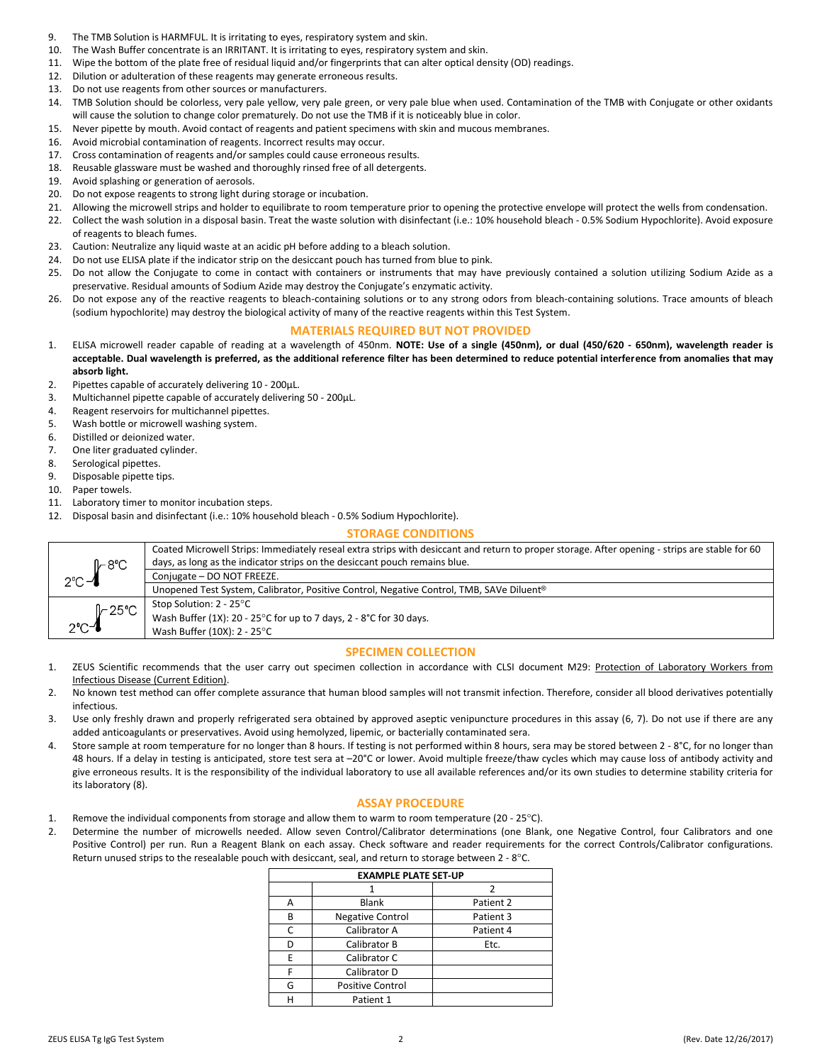- 9. The TMB Solution is HARMFUL. It is irritating to eyes, respiratory system and skin.
- 10. The Wash Buffer concentrate is an IRRITANT. It is irritating to eyes, respiratory system and skin.
- 11. Wipe the bottom of the plate free of residual liquid and/or fingerprints that can alter optical density (OD) readings.
- 12. Dilution or adulteration of these reagents may generate erroneous results.
- 13. Do not use reagents from other sources or manufacturers.
- 14. TMB Solution should be colorless, very pale yellow, very pale green, or very pale blue when used. Contamination of the TMB with Conjugate or other oxidants will cause the solution to change color prematurely. Do not use the TMB if it is noticeably blue in color.
- 15. Never pipette by mouth. Avoid contact of reagents and patient specimens with skin and mucous membranes.
- 16. Avoid microbial contamination of reagents. Incorrect results may occur.
- 17. Cross contamination of reagents and/or samples could cause erroneous results.
- 18. Reusable glassware must be washed and thoroughly rinsed free of all detergents.
- 19. Avoid splashing or generation of aerosols.
- 20. Do not expose reagents to strong light during storage or incubation.
- 21. Allowing the microwell strips and holder to equilibrate to room temperature prior to opening the protective envelope will protect the wells from condensation.
- 22. Collect the wash solution in a disposal basin. Treat the waste solution with disinfectant (i.e.: 10% household bleach 0.5% Sodium Hypochlorite). Avoid exposure of reagents to bleach fumes.
- 23. Caution: Neutralize any liquid waste at an acidic pH before adding to a bleach solution.
- 24. Do not use ELISA plate if the indicator strip on the desiccant pouch has turned from blue to pink.
- 25. Do not allow the Conjugate to come in contact with containers or instruments that may have previously contained a solution utilizing Sodium Azide as a preservative. Residual amounts of Sodium Azide may destroy the Conjugate's enzymatic activity.
- 26. Do not expose any of the reactive reagents to bleach-containing solutions or to any strong odors from bleach-containing solutions. Trace amounts of bleach (sodium hypochlorite) may destroy the biological activity of many of the reactive reagents within this Test System.

## **MATERIALS REQUIRED BUT NOT PROVIDED**

- 1. ELISA microwell reader capable of reading at a wavelength of 450nm. **NOTE: Use of a single (450nm), or dual (450/620 - 650nm), wavelength reader is acceptable. Dual wavelength is preferred, as the additional reference filter has been determined to reduce potential interference from anomalies that may absorb light.**
- 2. Pipettes capable of accurately delivering 10 200µL.
- 3. Multichannel pipette capable of accurately delivering 50 200µL.
- 4. Reagent reservoirs for multichannel pipettes.
- 5. Wash bottle or microwell washing system.
- 6. Distilled or deionized water.
- 7. One liter graduated cylinder.
- 8. Serological pipettes.
- 9. Disposable pipette tips.
- 10. Paper towels.
- 11. Laboratory timer to monitor incubation steps.
- 12. Disposal basin and disinfectant (i.e.: 10% household bleach 0.5% Sodium Hypochlorite).

#### **STORAGE CONDITIONS**

| <i></i> ի−8℃      | Coated Microwell Strips: Immediately reseal extra strips with desiccant and return to proper storage. After opening - strips are stable for 60<br>days, as long as the indicator strips on the desiccant pouch remains blue. |
|-------------------|------------------------------------------------------------------------------------------------------------------------------------------------------------------------------------------------------------------------------|
| $2^{\circ}$ C $-$ | Conjugate - DO NOT FREEZE.                                                                                                                                                                                                   |
|                   | Unopened Test System, Calibrator, Positive Control, Negative Control, TMB, SAVe Diluent <sup>®</sup>                                                                                                                         |
| $\sqrt{25}$ °C    | Stop Solution: 2 - 25°C                                                                                                                                                                                                      |
|                   | Wash Buffer (1X): 20 - 25°C for up to 7 days, 2 - 8°C for 30 days.                                                                                                                                                           |
| $2^\circ C - 1$   | Wash Buffer (10X): 2 - 25°C                                                                                                                                                                                                  |

#### **SPECIMEN COLLECTION**

- 1. ZEUS Scientific recommends that the user carry out specimen collection in accordance with CLSI document M29: Protection of Laboratory Workers from Infectious Disease (Current Edition).
- 2. No known test method can offer complete assurance that human blood samples will not transmit infection. Therefore, consider all blood derivatives potentially infectious.
- 3. Use only freshly drawn and properly refrigerated sera obtained by approved aseptic venipuncture procedures in this assay (6, 7). Do not use if there are any added anticoagulants or preservatives. Avoid using hemolyzed, lipemic, or bacterially contaminated sera.
- 4. Store sample at room temperature for no longer than 8 hours. If testing is not performed within 8 hours, sera may be stored between 2 8°C, for no longer than 48 hours. If a delay in testing is anticipated, store test sera at -20°C or lower. Avoid multiple freeze/thaw cycles which may cause loss of antibody activity and give erroneous results. It is the responsibility of the individual laboratory to use all available references and/or its own studies to determine stability criteria for its laboratory (8).

#### **ASSAY PROCEDURE**

- 1. Remove the individual components from storage and allow them to warm to room temperature (20 25°C).
- 2. Determine the number of microwells needed. Allow seven Control/Calibrator determinations (one Blank, one Negative Control, four Calibrators and one Positive Control) per run. Run a Reagent Blank on each assay. Check software and reader requirements for the correct Controls/Calibrator configurations. Return unused strips to the resealable pouch with desiccant, seal, and return to storage between 2 - 8°C.

| <b>EXAMPLE PLATE SET-UP</b> |                           |           |  |  |  |  |
|-----------------------------|---------------------------|-----------|--|--|--|--|
|                             |                           |           |  |  |  |  |
| A                           | <b>Blank</b><br>Patient 2 |           |  |  |  |  |
| В                           | <b>Negative Control</b>   | Patient 3 |  |  |  |  |
| C                           | Calibrator A              | Patient 4 |  |  |  |  |
| D                           | Calibrator B              | Etc.      |  |  |  |  |
| F                           | Calibrator C              |           |  |  |  |  |
| F                           | Calibrator D              |           |  |  |  |  |
| G                           | <b>Positive Control</b>   |           |  |  |  |  |
| н                           | Patient 1                 |           |  |  |  |  |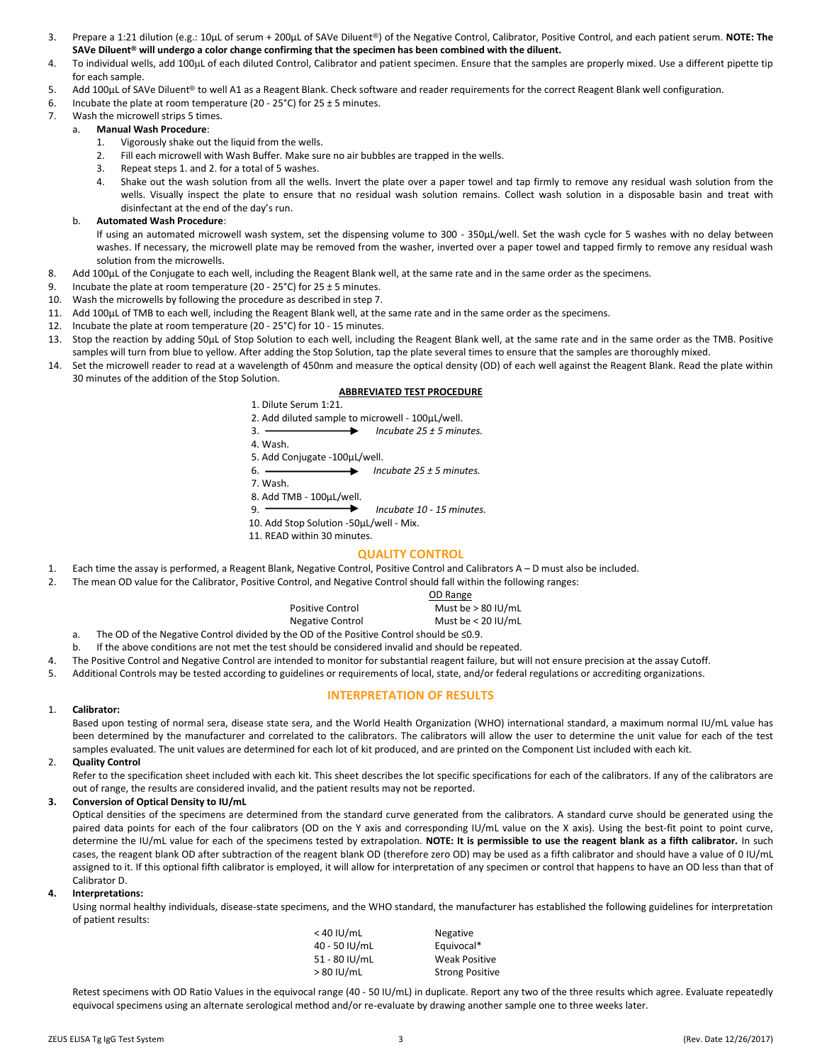- 3. Prepare a 1:21 dilution (e.g.: 10µL of serum + 200µL of SAVe Diluent®) of the Negative Control, Calibrator, Positive Control, and each patient serum. **NOTE: The SAVe Diluent® will undergo a color change confirming that the specimen has been combined with the diluent.**
- 4. To individual wells, add 100µL of each diluted Control, Calibrator and patient specimen. Ensure that the samples are properly mixed. Use a different pipette tip for each sample.
- 5. Add 100µL of SAVe Diluent® to well A1 as a Reagent Blank. Check software and reader requirements for the correct Reagent Blank well configuration.
- 6. Incubate the plate at room temperature (20 25°C) for  $25 \pm 5$  minutes.
- 7. Wash the microwell strips 5 times.
	- a. **Manual Wash Procedure**:
		- 1. Vigorously shake out the liquid from the wells.
		- 2. Fill each microwell with Wash Buffer. Make sure no air bubbles are trapped in the wells.
		- 3. Repeat steps 1. and 2. for a total of 5 washes.
		- 4. Shake out the wash solution from all the wells. Invert the plate over a paper towel and tap firmly to remove any residual wash solution from the wells. Visually inspect the plate to ensure that no residual wash solution remains. Collect wash solution in a disposable basin and treat with disinfectant at the end of the day's run.
	- b. **Automated Wash Procedure**:

If using an automated microwell wash system, set the dispensing volume to 300 - 350µL/well. Set the wash cycle for 5 washes with no delay between washes. If necessary, the microwell plate may be removed from the washer, inverted over a paper towel and tapped firmly to remove any residual wash solution from the microwells.

- 8. Add 100µL of the Conjugate to each well, including the Reagent Blank well, at the same rate and in the same order as the specimens.
- 9. Incubate the plate at room temperature (20 25°C) for 25  $\pm$  5 minutes.
- 10. Wash the microwells by following the procedure as described in step 7.
- 11. Add 100µL of TMB to each well, including the Reagent Blank well, at the same rate and in the same order as the specimens.
- 12. Incubate the plate at room temperature (20 25°C) for 10 15 minutes.
- 13. Stop the reaction by adding 50µL of Stop Solution to each well, including the Reagent Blank well, at the same rate and in the same order as the TMB. Positive samples will turn from blue to yellow. After adding the Stop Solution, tap the plate several times to ensure that the samples are thoroughly mixed.
- 14. Set the microwell reader to read at a wavelength of 450nm and measure the optical density (OD) of each well against the Reagent Blank. Read the plate within 30 minutes of the addition of the Stop Solution.

## **ABBREVIATED TEST PROCEDURE**

1. Dilute Serum 1:21. 2. Add diluted sample to microwell - 100µL/well. 3. *Incubate 25 ± 5 minutes.* 4. Wash. 5. Add Conjugate -100µL/well. 6. *Incubate 25 ± 5 minutes.*

7. Wash.

8. Add TMB -  $100 \mu L/well$ .

9. *Incubate 10 - 15 minutes.*

- 10. Add Stop Solution -50µL/well Mix.
- 11. READ within 30 minutes.

## **QUALITY CONTROL**

- 1. Each time the assay is performed, a Reagent Blank, Negative Control, Positive Control and Calibrators A D must also be included.
- 2. The mean OD value for the Calibrator, Positive Control, and Negative Control should fall within the following ranges:

|                                              | OD Range             |
|----------------------------------------------|----------------------|
| <b>Positive Control</b>                      | Must be $> 80$ IU/mL |
| Negative Control                             | Must be $< 20$ IU/mL |
| he OD of the Positive Control should be <0.9 |                      |

a. The OD of the Negative Control divided by the OD of the Positive Control should be ≤

b. If the above conditions are not met the test should be considered invalid and should be repeated.

- 4. The Positive Control and Negative Control are intended to monitor for substantial reagent failure, but will not ensure precision at the assay Cutoff.
- 5. Additional Controls may be tested according to guidelines or requirements of local, state, and/or federal regulations or accrediting organizations.

## **INTERPRETATION OF RESULTS**

#### 1. **Calibrator:**

Based upon testing of normal sera, disease state sera, and the World Health Organization (WHO) international standard, a maximum normal IU/mL value has been determined by the manufacturer and correlated to the calibrators. The calibrators will allow the user to determine the unit value for each of the test samples evaluated. The unit values are determined for each lot of kit produced, and are printed on the Component List included with each kit.

#### 2. **Quality Control**

Refer to the specification sheet included with each kit. This sheet describes the lot specific specifications for each of the calibrators. If any of the calibrators are out of range, the results are considered invalid, and the patient results may not be reported.

#### **3. Conversion of Optical Density to IU/mL**

Optical densities of the specimens are determined from the standard curve generated from the calibrators. A standard curve should be generated using the paired data points for each of the four calibrators (OD on the Y axis and corresponding IU/mL value on the X axis). Using the best-fit point to point curve, determine the IU/mL value for each of the specimens tested by extrapolation. **NOTE: It is permissible to use the reagent blank as a fifth calibrator.** In such cases, the reagent blank OD after subtraction of the reagent blank OD (therefore zero OD) may be used as a fifth calibrator and should have a value of 0 IU/mL assigned to it. If this optional fifth calibrator is employed, it will allow for interpretation of any specimen or control that happens to have an OD less than that of Calibrator D.

#### **4. Interpretations:**

Using normal healthy individuals, disease-state specimens, and the WHO standard, the manufacturer has established the following guidelines for interpretation of patient results:

| $< 40$ IU/mL  | <b>Negative</b>        |
|---------------|------------------------|
| 40 - 50 IU/mL | Equivocal*             |
| 51 - 80 IU/mL | <b>Weak Positive</b>   |
| $>80$ IU/mL   | <b>Strong Positive</b> |
|               |                        |

Retest specimens with OD Ratio Values in the equivocal range (40 - 50 IU/mL) in duplicate. Report any two of the three results which agree. Evaluate repeatedly equivocal specimens using an alternate serological method and/or re-evaluate by drawing another sample one to three weeks later.